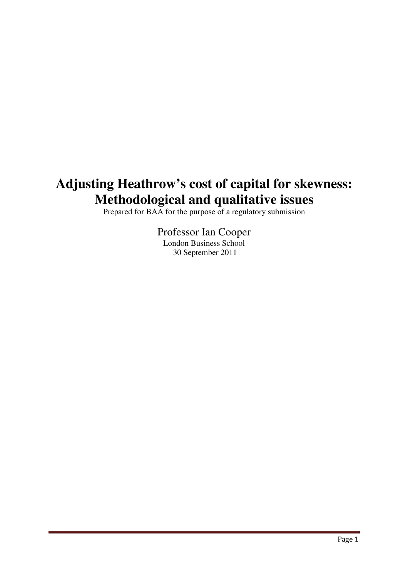# **Adjusting Heathrow's cost of capital for skewness: Methodological and qualitative issues**

Prepared for BAA for the purpose of a regulatory submission

Professor Ian Cooper London Business School 30 September 2011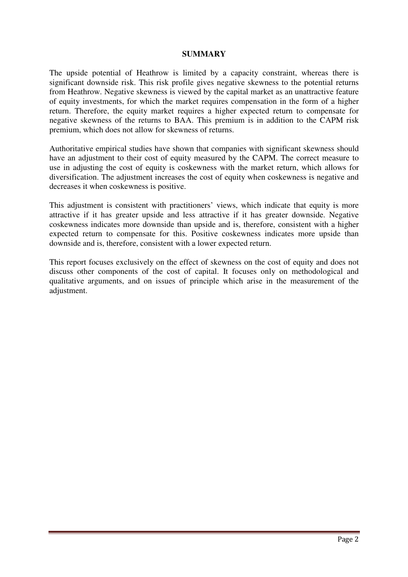#### **SUMMARY**

The upside potential of Heathrow is limited by a capacity constraint, whereas there is significant downside risk. This risk profile gives negative skewness to the potential returns from Heathrow. Negative skewness is viewed by the capital market as an unattractive feature of equity investments, for which the market requires compensation in the form of a higher return. Therefore, the equity market requires a higher expected return to compensate for negative skewness of the returns to BAA. This premium is in addition to the CAPM risk premium, which does not allow for skewness of returns.

Authoritative empirical studies have shown that companies with significant skewness should have an adjustment to their cost of equity measured by the CAPM. The correct measure to use in adjusting the cost of equity is coskewness with the market return, which allows for diversification. The adjustment increases the cost of equity when coskewness is negative and decreases it when coskewness is positive.

This adjustment is consistent with practitioners' views, which indicate that equity is more attractive if it has greater upside and less attractive if it has greater downside. Negative coskewness indicates more downside than upside and is, therefore, consistent with a higher expected return to compensate for this. Positive coskewness indicates more upside than downside and is, therefore, consistent with a lower expected return.

This report focuses exclusively on the effect of skewness on the cost of equity and does not discuss other components of the cost of capital. It focuses only on methodological and qualitative arguments, and on issues of principle which arise in the measurement of the adjustment.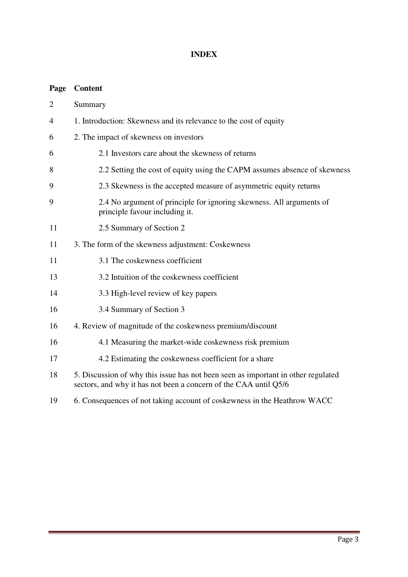# **INDEX**

# **Page Content**

| $\overline{2}$ | Summary                                                                                                                                               |  |  |
|----------------|-------------------------------------------------------------------------------------------------------------------------------------------------------|--|--|
| 4              | 1. Introduction: Skewness and its relevance to the cost of equity                                                                                     |  |  |
| 6              | 2. The impact of skewness on investors                                                                                                                |  |  |
| 6              | 2.1 Investors care about the skewness of returns                                                                                                      |  |  |
| 8              | 2.2 Setting the cost of equity using the CAPM assumes absence of skewness                                                                             |  |  |
| 9              | 2.3 Skewness is the accepted measure of asymmetric equity returns                                                                                     |  |  |
| 9              | 2.4 No argument of principle for ignoring skewness. All arguments of<br>principle favour including it.                                                |  |  |
| 11             | 2.5 Summary of Section 2                                                                                                                              |  |  |
| 11             | 3. The form of the skewness adjustment: Coskewness                                                                                                    |  |  |
| 11             | 3.1 The coskewness coefficient                                                                                                                        |  |  |
| 13             | 3.2 Intuition of the coskewness coefficient                                                                                                           |  |  |
| 14             | 3.3 High-level review of key papers                                                                                                                   |  |  |
| 16             | 3.4 Summary of Section 3                                                                                                                              |  |  |
| 16             | 4. Review of magnitude of the coskewness premium/discount                                                                                             |  |  |
| 16             | 4.1 Measuring the market-wide coskewness risk premium                                                                                                 |  |  |
| 17             | 4.2 Estimating the coskewness coefficient for a share                                                                                                 |  |  |
| 18             | 5. Discussion of why this issue has not been seen as important in other regulated<br>sectors, and why it has not been a concern of the CAA until Q5/6 |  |  |

19 6. Consequences of not taking account of coskewness in the Heathrow WACC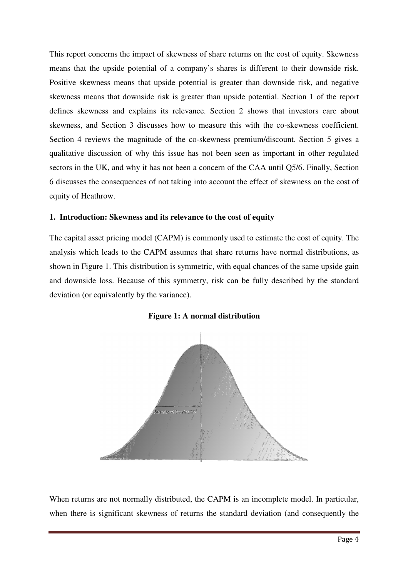This report concerns the impact of skewness of share returns on the cost of equity. Skewness means that the upside potential of a company's shares is different to their downside risk. Positive skewness means that upside potential is greater than downside risk, and negative skewness means that downside risk is greater than upside potential. Section 1 of the report defines skewness and explains its relevance. Section 2 shows that investors care about skewness, and Section 3 discusses how to measure this with the co-skewness coefficient. Section 4 reviews the magnitude of the co-skewness premium/discount. Section 5 gives a qualitative discussion of why this issue has not been seen as important in other regulated sectors in the UK, and why it has not been a concern of the CAA until Q5/6. Finally, Section 6 discusses the consequences of not taking into account the effect of skewness on the cost of equity of Heathrow.

#### **1. Introduction: Skewness and its relevance to the cost of equity**

The capital asset pricing model (CAPM) is commonly used to estimate the cost of equity. The analysis which leads to the CAPM assumes that share returns have normal distributions, as shown in Figure 1. This distribution is symmetric, with equal chances of the same upside gain and downside loss. Because of this symmetry, risk can be fully described by the standard deviation (or equivalently by the variance).



**Figure 1: A normal distribution** 

When returns are not normally distributed, the CAPM is an incomplete model. In particular, when there is significant skewness of returns the standard deviation (and consequently the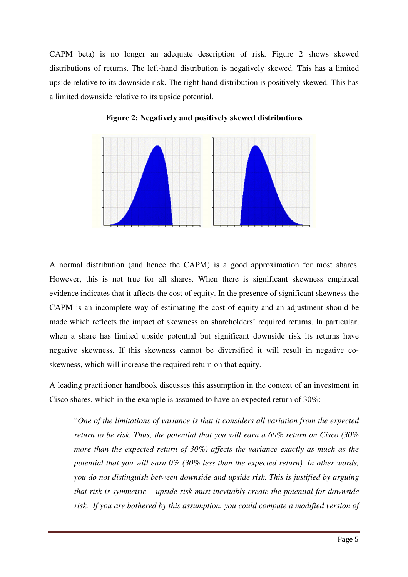CAPM beta) is no longer an adequate description of risk. Figure 2 shows skewed distributions of returns. The left-hand distribution is negatively skewed. This has a limited upside relative to its downside risk. The right-hand distribution is positively skewed. This has a limited downside relative to its upside potential.



**Figure 2: Negatively and positively skewed distributions** 

A normal distribution (and hence the CAPM) is a good approximation for most shares. However, this is not true for all shares. When there is significant skewness empirical evidence indicates that it affects the cost of equity. In the presence of significant skewness the CAPM is an incomplete way of estimating the cost of equity and an adjustment should be made which reflects the impact of skewness on shareholders' required returns. In particular, when a share has limited upside potential but significant downside risk its returns have negative skewness. If this skewness cannot be diversified it will result in negative coskewness, which will increase the required return on that equity.

A leading practitioner handbook discusses this assumption in the context of an investment in Cisco shares, which in the example is assumed to have an expected return of 30%:

"*One of the limitations of variance is that it considers all variation from the expected return to be risk. Thus, the potential that you will earn a 60% return on Cisco (30% more than the expected return of 30%) affects the variance exactly as much as the potential that you will earn 0% (30% less than the expected return). In other words, you do not distinguish between downside and upside risk. This is justified by arguing that risk is symmetric – upside risk must inevitably create the potential for downside risk. If you are bothered by this assumption, you could compute a modified version of*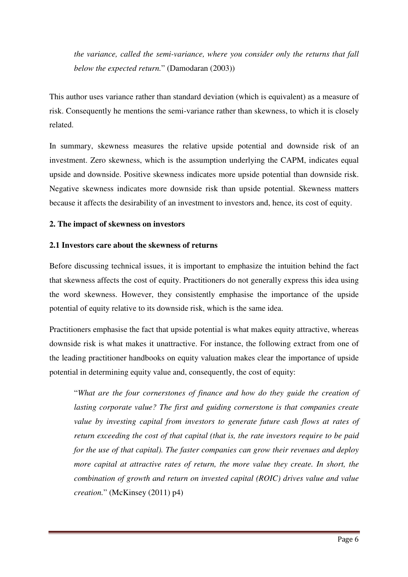*the variance, called the semi-variance, where you consider only the returns that fall below the expected return.*" (Damodaran (2003))

This author uses variance rather than standard deviation (which is equivalent) as a measure of risk. Consequently he mentions the semi-variance rather than skewness, to which it is closely related.

In summary, skewness measures the relative upside potential and downside risk of an investment. Zero skewness, which is the assumption underlying the CAPM, indicates equal upside and downside. Positive skewness indicates more upside potential than downside risk. Negative skewness indicates more downside risk than upside potential. Skewness matters because it affects the desirability of an investment to investors and, hence, its cost of equity.

# **2. The impact of skewness on investors**

# **2.1 Investors care about the skewness of returns**

Before discussing technical issues, it is important to emphasize the intuition behind the fact that skewness affects the cost of equity. Practitioners do not generally express this idea using the word skewness. However, they consistently emphasise the importance of the upside potential of equity relative to its downside risk, which is the same idea.

Practitioners emphasise the fact that upside potential is what makes equity attractive, whereas downside risk is what makes it unattractive. For instance, the following extract from one of the leading practitioner handbooks on equity valuation makes clear the importance of upside potential in determining equity value and, consequently, the cost of equity:

"*What are the four cornerstones of finance and how do they guide the creation of lasting corporate value? The first and guiding cornerstone is that companies create value by investing capital from investors to generate future cash flows at rates of return exceeding the cost of that capital (that is, the rate investors require to be paid for the use of that capital). The faster companies can grow their revenues and deploy more capital at attractive rates of return, the more value they create. In short, the combination of growth and return on invested capital (ROIC) drives value and value creation.*" (McKinsey (2011) p4)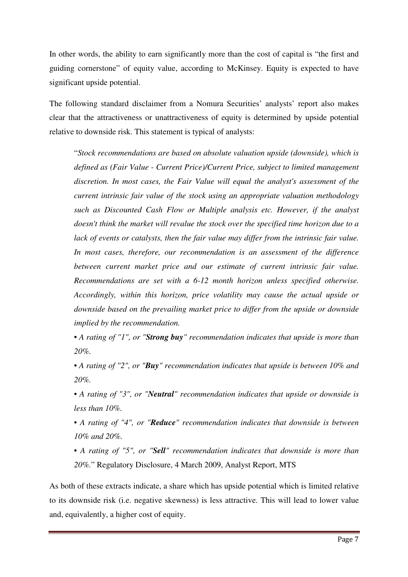In other words, the ability to earn significantly more than the cost of capital is "the first and guiding cornerstone" of equity value, according to McKinsey. Equity is expected to have significant upside potential.

The following standard disclaimer from a Nomura Securities' analysts' report also makes clear that the attractiveness or unattractiveness of equity is determined by upside potential relative to downside risk. This statement is typical of analysts:

"*Stock recommendations are based on absolute valuation upside (downside), which is defined as (Fair Value - Current Price)/Current Price, subject to limited management discretion. In most cases, the Fair Value will equal the analyst's assessment of the current intrinsic fair value of the stock using an appropriate valuation methodology such as Discounted Cash Flow or Multiple analysis etc. However, if the analyst doesn't think the market will revalue the stock over the specified time horizon due to a lack of events or catalysts, then the fair value may differ from the intrinsic fair value. In most cases, therefore, our recommendation is an assessment of the difference between current market price and our estimate of current intrinsic fair value. Recommendations are set with a 6-12 month horizon unless specified otherwise. Accordingly, within this horizon, price volatility may cause the actual upside or downside based on the prevailing market price to differ from the upside or downside implied by the recommendation.* 

*• A rating of "1", or "Strong buy" recommendation indicates that upside is more than 20%.* 

*• A rating of "2", or "Buy" recommendation indicates that upside is between 10% and 20%.* 

*• A rating of "3", or "Neutral" recommendation indicates that upside or downside is less than 10%.* 

*• A rating of "4", or "Reduce" recommendation indicates that downside is between 10% and 20%.* 

*• A rating of "5", or "Sell" recommendation indicates that downside is more than 20%.*" Regulatory Disclosure, 4 March 2009, Analyst Report, MTS

As both of these extracts indicate, a share which has upside potential which is limited relative to its downside risk (i.e. negative skewness) is less attractive. This will lead to lower value and, equivalently, a higher cost of equity.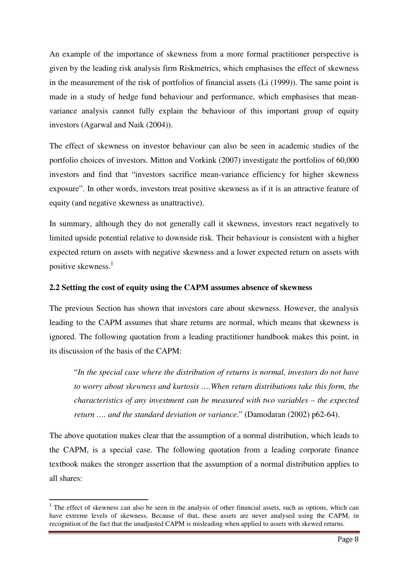An example of the importance of skewness from a more formal practitioner perspective is given by the leading risk analysis firm Riskmetrics, which emphasises the effect of skewness in the measurement of the risk of portfolios of financial assets (Li (1999)). The same point is made in a study of hedge fund behaviour and performance, which emphasises that meanvariance analysis cannot fully explain the behaviour of this important group of equity investors (Agarwal and Naik (2004)).

The effect of skewness on investor behaviour can also be seen in academic studies of the portfolio choices of investors. Mitton and Vorkink (2007) investigate the portfolios of 60,000 investors and find that "investors sacrifice mean-variance efficiency for higher skewness exposure". In other words, investors treat positive skewness as if it is an attractive feature of equity (and negative skewness as unattractive).

In summary, although they do not generally call it skewness, investors react negatively to limited upside potential relative to downside risk. Their behaviour is consistent with a higher expected return on assets with negative skewness and a lower expected return on assets with positive skewness.<sup>1</sup>

#### **2.2 Setting the cost of equity using the CAPM assumes absence of skewness**

The previous Section has shown that investors care about skewness. However, the analysis leading to the CAPM assumes that share returns are normal, which means that skewness is ignored. The following quotation from a leading practitioner handbook makes this point, in its discussion of the basis of the CAPM:

"*In the special case where the distribution of returns is normal, investors do not have to worry about skewness and kurtosis ….When return distributions take this form, the characteristics of any investment can be measured with two variables – the expected return …. and the standard deviation or variance.*" (Damodaran (2002) p62-64).

The above quotation makes clear that the assumption of a normal distribution, which leads to the CAPM, is a special case. The following quotation from a leading corporate finance textbook makes the stronger assertion that the assumption of a normal distribution applies to all shares:

 $\overline{a}$ 

 $1$ <sup>1</sup> The effect of skewness can also be seen in the analysis of other financial assets, such as options, which can have extreme levels of skewness. Because of that, these assets are never analysed using the CAPM, in recognition of the fact that the unadjusted CAPM is misleading when applied to assets with skewed returns.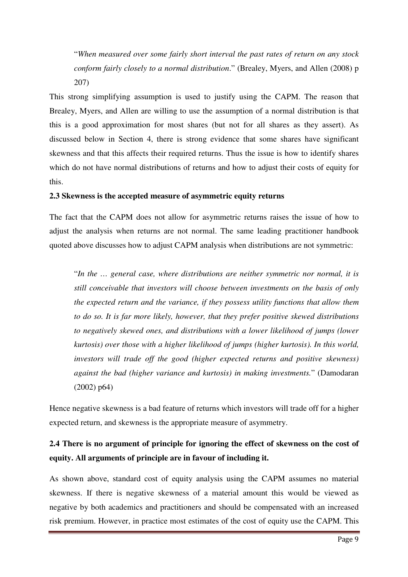"*When measured over some fairly short interval the past rates of return on any stock conform fairly closely to a normal distribution*." (Brealey, Myers, and Allen (2008) p 207)

This strong simplifying assumption is used to justify using the CAPM. The reason that Brealey, Myers, and Allen are willing to use the assumption of a normal distribution is that this is a good approximation for most shares (but not for all shares as they assert). As discussed below in Section 4, there is strong evidence that some shares have significant skewness and that this affects their required returns. Thus the issue is how to identify shares which do not have normal distributions of returns and how to adjust their costs of equity for this.

#### **2.3 Skewness is the accepted measure of asymmetric equity returns**

The fact that the CAPM does not allow for asymmetric returns raises the issue of how to adjust the analysis when returns are not normal. The same leading practitioner handbook quoted above discusses how to adjust CAPM analysis when distributions are not symmetric:

"*In the … general case, where distributions are neither symmetric nor normal, it is still conceivable that investors will choose between investments on the basis of only the expected return and the variance, if they possess utility functions that allow them to do so. It is far more likely, however, that they prefer positive skewed distributions to negatively skewed ones, and distributions with a lower likelihood of jumps (lower kurtosis) over those with a higher likelihood of jumps (higher kurtosis). In this world, investors will trade off the good (higher expected returns and positive skewness) against the bad (higher variance and kurtosis) in making investments.*" (Damodaran (2002) p64)

Hence negative skewness is a bad feature of returns which investors will trade off for a higher expected return, and skewness is the appropriate measure of asymmetry.

# **2.4 There is no argument of principle for ignoring the effect of skewness on the cost of equity. All arguments of principle are in favour of including it.**

As shown above, standard cost of equity analysis using the CAPM assumes no material skewness. If there is negative skewness of a material amount this would be viewed as negative by both academics and practitioners and should be compensated with an increased risk premium. However, in practice most estimates of the cost of equity use the CAPM. This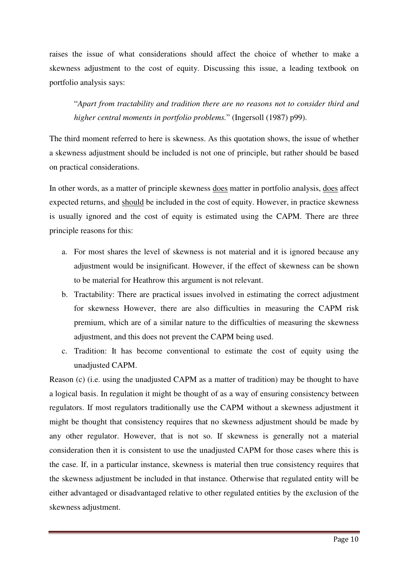raises the issue of what considerations should affect the choice of whether to make a skewness adjustment to the cost of equity. Discussing this issue, a leading textbook on portfolio analysis says:

"*Apart from tractability and tradition there are no reasons not to consider third and higher central moments in portfolio problems.*" (Ingersoll (1987) p99).

The third moment referred to here is skewness. As this quotation shows, the issue of whether a skewness adjustment should be included is not one of principle, but rather should be based on practical considerations.

In other words, as a matter of principle skewness does matter in portfolio analysis, does affect expected returns, and should be included in the cost of equity. However, in practice skewness is usually ignored and the cost of equity is estimated using the CAPM. There are three principle reasons for this:

- a. For most shares the level of skewness is not material and it is ignored because any adjustment would be insignificant. However, if the effect of skewness can be shown to be material for Heathrow this argument is not relevant.
- b. Tractability: There are practical issues involved in estimating the correct adjustment for skewness However, there are also difficulties in measuring the CAPM risk premium, which are of a similar nature to the difficulties of measuring the skewness adjustment, and this does not prevent the CAPM being used.
- c. Tradition: It has become conventional to estimate the cost of equity using the unadjusted CAPM.

Reason (c) (i.e. using the unadjusted CAPM as a matter of tradition) may be thought to have a logical basis. In regulation it might be thought of as a way of ensuring consistency between regulators. If most regulators traditionally use the CAPM without a skewness adjustment it might be thought that consistency requires that no skewness adjustment should be made by any other regulator. However, that is not so. If skewness is generally not a material consideration then it is consistent to use the unadjusted CAPM for those cases where this is the case. If, in a particular instance, skewness is material then true consistency requires that the skewness adjustment be included in that instance. Otherwise that regulated entity will be either advantaged or disadvantaged relative to other regulated entities by the exclusion of the skewness adjustment.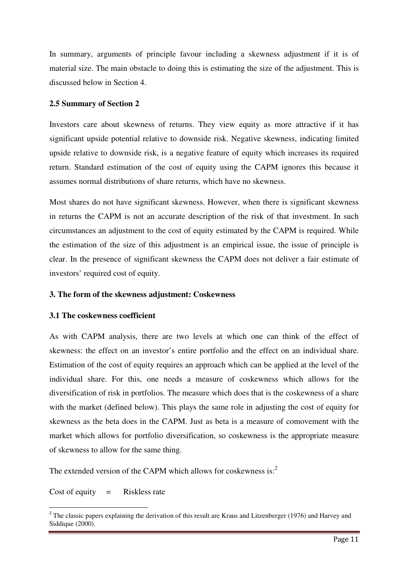In summary, arguments of principle favour including a skewness adjustment if it is of material size. The main obstacle to doing this is estimating the size of the adjustment. This is discussed below in Section 4.

#### **2.5 Summary of Section 2**

Investors care about skewness of returns. They view equity as more attractive if it has significant upside potential relative to downside risk. Negative skewness, indicating limited upside relative to downside risk, is a negative feature of equity which increases its required return. Standard estimation of the cost of equity using the CAPM ignores this because it assumes normal distributions of share returns, which have no skewness.

Most shares do not have significant skewness. However, when there is significant skewness in returns the CAPM is not an accurate description of the risk of that investment. In such circumstances an adjustment to the cost of equity estimated by the CAPM is required. While the estimation of the size of this adjustment is an empirical issue, the issue of principle is clear. In the presence of significant skewness the CAPM does not deliver a fair estimate of investors' required cost of equity.

#### **3. The form of the skewness adjustment: Coskewness**

#### **3.1 The coskewness coefficient**

As with CAPM analysis, there are two levels at which one can think of the effect of skewness: the effect on an investor's entire portfolio and the effect on an individual share. Estimation of the cost of equity requires an approach which can be applied at the level of the individual share. For this, one needs a measure of coskewness which allows for the diversification of risk in portfolios. The measure which does that is the coskewness of a share with the market (defined below). This plays the same role in adjusting the cost of equity for skewness as the beta does in the CAPM. Just as beta is a measure of comovement with the market which allows for portfolio diversification, so coskewness is the appropriate measure of skewness to allow for the same thing.

The extended version of the CAPM which allows for coskewness is: $2$ 

Cost of equity  $=$  Riskless rate

l

<sup>&</sup>lt;sup>2</sup> The classic papers explaining the derivation of this result are Kraus and Litzenberger (1976) and Harvey and Siddique (2000).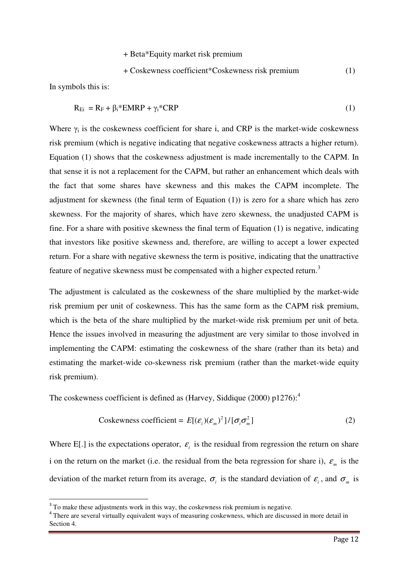+ Beta\*Equity market risk premium

+ Coskewness coefficient\*Coskewness risk premium (1)

In symbols this is:

 $\overline{a}$ 

$$
R_{Ei} = R_F + \beta_i * EMRP + \gamma_i * CRP
$$
\n(1)

Where  $\gamma_i$  is the coskewness coefficient for share i, and CRP is the market-wide coskewness risk premium (which is negative indicating that negative coskewness attracts a higher return). Equation (1) shows that the coskewness adjustment is made incrementally to the CAPM. In that sense it is not a replacement for the CAPM, but rather an enhancement which deals with the fact that some shares have skewness and this makes the CAPM incomplete. The adjustment for skewness (the final term of Equation (1)) is zero for a share which has zero skewness. For the majority of shares, which have zero skewness, the unadjusted CAPM is fine. For a share with positive skewness the final term of Equation (1) is negative, indicating that investors like positive skewness and, therefore, are willing to accept a lower expected return. For a share with negative skewness the term is positive, indicating that the unattractive feature of negative skewness must be compensated with a higher expected return.<sup>3</sup>

The adjustment is calculated as the coskewness of the share multiplied by the market-wide risk premium per unit of coskewness. This has the same form as the CAPM risk premium, which is the beta of the share multiplied by the market-wide risk premium per unit of beta. Hence the issues involved in measuring the adjustment are very similar to those involved in implementing the CAPM: estimating the coskewness of the share (rather than its beta) and estimating the market-wide co-skewness risk premium (rather than the market-wide equity risk premium).

The coskewness coefficient is defined as (Harvey, Siddique (2000) p1276):<sup>4</sup>

Coskewness coefficient = 
$$
E[(\varepsilon_i)(\varepsilon_m)^2]/[\sigma_i \sigma_m^2]
$$
 (2)

Where E[.] is the expectations operator,  $\varepsilon$ <sub>i</sub> is the residual from regression the return on share i on the return on the market (i.e. the residual from the beta regression for share i),  $\varepsilon_m$  is the deviation of the market return from its average,  $\sigma_i$  is the standard deviation of  $\varepsilon_i$ , and  $\sigma_m$  is

<sup>&</sup>lt;sup>3</sup> To make these adjustments work in this way, the coskewness risk premium is negative.

<sup>&</sup>lt;sup>4</sup> There are several virtually equivalent ways of measuring coskewness, which are discussed in more detail in Section 4.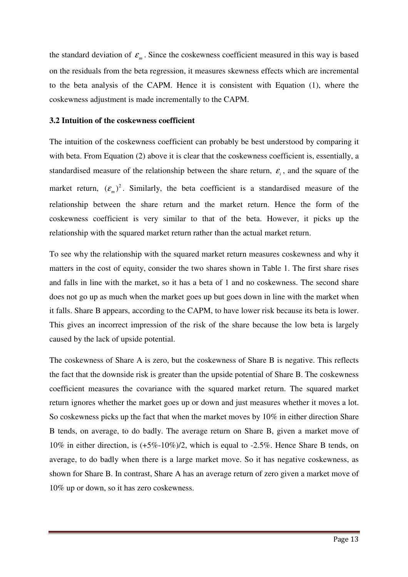the standard deviation of  $\varepsilon_m$ . Since the coskewness coefficient measured in this way is based on the residuals from the beta regression, it measures skewness effects which are incremental to the beta analysis of the CAPM. Hence it is consistent with Equation (1), where the coskewness adjustment is made incrementally to the CAPM.

#### **3.2 Intuition of the coskewness coefficient**

The intuition of the coskewness coefficient can probably be best understood by comparing it with beta. From Equation (2) above it is clear that the coskewness coefficient is, essentially, a standardised measure of the relationship between the share return,  $\epsilon_i$ , and the square of the market return,  $(\varepsilon_m)^2$ . Similarly, the beta coefficient is a standardised measure of the relationship between the share return and the market return. Hence the form of the coskewness coefficient is very similar to that of the beta. However, it picks up the relationship with the squared market return rather than the actual market return.

To see why the relationship with the squared market return measures coskewness and why it matters in the cost of equity, consider the two shares shown in Table 1. The first share rises and falls in line with the market, so it has a beta of 1 and no coskewness. The second share does not go up as much when the market goes up but goes down in line with the market when it falls. Share B appears, according to the CAPM, to have lower risk because its beta is lower. This gives an incorrect impression of the risk of the share because the low beta is largely caused by the lack of upside potential.

The coskewness of Share A is zero, but the coskewness of Share B is negative. This reflects the fact that the downside risk is greater than the upside potential of Share B. The coskewness coefficient measures the covariance with the squared market return. The squared market return ignores whether the market goes up or down and just measures whether it moves a lot. So coskewness picks up the fact that when the market moves by 10% in either direction Share B tends, on average, to do badly. The average return on Share B, given a market move of 10% in either direction, is (+5%-10%)/2, which is equal to -2.5%. Hence Share B tends, on average, to do badly when there is a large market move. So it has negative coskewness, as shown for Share B. In contrast, Share A has an average return of zero given a market move of 10% up or down, so it has zero coskewness.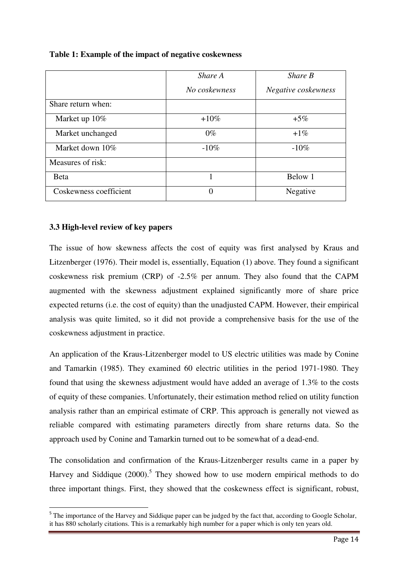|                        | Share A       | Share B             |
|------------------------|---------------|---------------------|
|                        | No coskewness | Negative coskewness |
| Share return when:     |               |                     |
| Market up 10%          | $+10\%$       | $+5\%$              |
| Market unchanged       | $0\%$         | $+1\%$              |
| Market down 10%        | $-10\%$       | $-10\%$             |
| Measures of risk:      |               |                     |
| <b>B</b> eta           |               | Below 1             |
| Coskewness coefficient | 0             | Negative            |

# **Table 1: Example of the impact of negative coskewness**

# **3.3 High-level review of key papers**

l

The issue of how skewness affects the cost of equity was first analysed by Kraus and Litzenberger (1976). Their model is, essentially, Equation (1) above. They found a significant coskewness risk premium (CRP) of -2.5% per annum. They also found that the CAPM augmented with the skewness adjustment explained significantly more of share price expected returns (i.e. the cost of equity) than the unadjusted CAPM. However, their empirical analysis was quite limited, so it did not provide a comprehensive basis for the use of the coskewness adjustment in practice.

An application of the Kraus-Litzenberger model to US electric utilities was made by Conine and Tamarkin (1985). They examined 60 electric utilities in the period 1971-1980. They found that using the skewness adjustment would have added an average of 1.3% to the costs of equity of these companies. Unfortunately, their estimation method relied on utility function analysis rather than an empirical estimate of CRP. This approach is generally not viewed as reliable compared with estimating parameters directly from share returns data. So the approach used by Conine and Tamarkin turned out to be somewhat of a dead-end.

The consolidation and confirmation of the Kraus-Litzenberger results came in a paper by Harvey and Siddique  $(2000)$ .<sup>5</sup> They showed how to use modern empirical methods to do three important things. First, they showed that the coskewness effect is significant, robust,

<sup>&</sup>lt;sup>5</sup> The importance of the Harvey and Siddique paper can be judged by the fact that, according to Google Scholar, it has 880 scholarly citations. This is a remarkably high number for a paper which is only ten years old.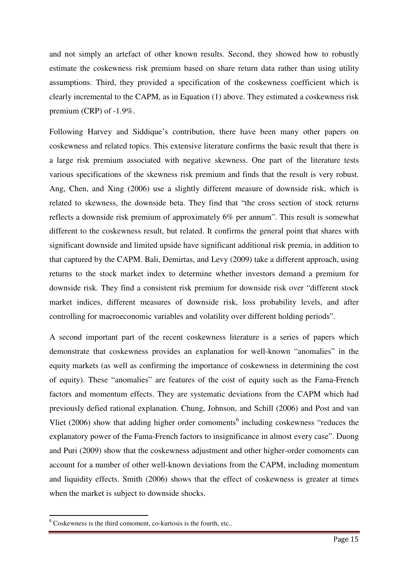and not simply an artefact of other known results. Second, they showed how to robustly estimate the coskewness risk premium based on share return data rather than using utility assumptions. Third, they provided a specification of the coskewness coefficient which is clearly incremental to the CAPM, as in Equation (1) above. They estimated a coskewness risk premium (CRP) of -1.9%.

Following Harvey and Siddique's contribution, there have been many other papers on coskewness and related topics. This extensive literature confirms the basic result that there is a large risk premium associated with negative skewness. One part of the literature tests various specifications of the skewness risk premium and finds that the result is very robust. Ang, Chen, and Xing (2006) use a slightly different measure of downside risk, which is related to skewness, the downside beta. They find that "the cross section of stock returns reflects a downside risk premium of approximately 6% per annum". This result is somewhat different to the coskewness result, but related. It confirms the general point that shares with significant downside and limited upside have significant additional risk premia, in addition to that captured by the CAPM. Bali, Demirtas, and Levy (2009) take a different approach, using returns to the stock market index to determine whether investors demand a premium for downside risk. They find a consistent risk premium for downside risk over "different stock market indices, different measures of downside risk, loss probability levels, and after controlling for macroeconomic variables and volatility over different holding periods".

A second important part of the recent coskewness literature is a series of papers which demonstrate that coskewness provides an explanation for well-known "anomalies" in the equity markets (as well as confirming the importance of coskewness in determining the cost of equity). These "anomalies" are features of the cost of equity such as the Fama-French factors and momentum effects. They are systematic deviations from the CAPM which had previously defied rational explanation. Chung, Johnson, and Schill (2006) and Post and van Vliet (2006) show that adding higher order comoments<sup>6</sup> including coskewness "reduces the explanatory power of the Fama-French factors to insignificance in almost every case". Duong and Puri (2009) show that the coskewness adjustment and other higher-order comoments can account for a number of other well-known deviations from the CAPM, including momentum and liquidity effects. Smith (2006) shows that the effect of coskewness is greater at times when the market is subject to downside shocks.

 $\overline{a}$ 

<sup>6</sup> Coskewness is the third comoment, co-kurtosis is the fourth, etc..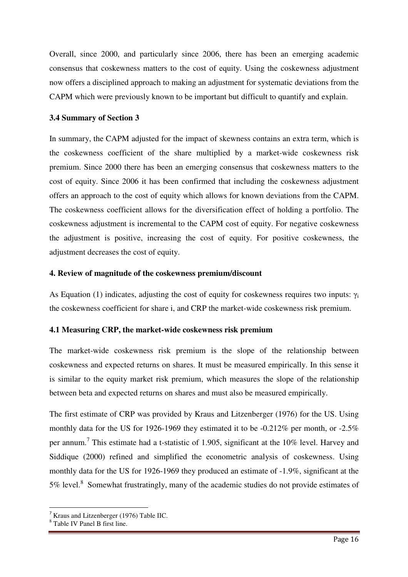Overall, since 2000, and particularly since 2006, there has been an emerging academic consensus that coskewness matters to the cost of equity. Using the coskewness adjustment now offers a disciplined approach to making an adjustment for systematic deviations from the CAPM which were previously known to be important but difficult to quantify and explain.

# **3.4 Summary of Section 3**

In summary, the CAPM adjusted for the impact of skewness contains an extra term, which is the coskewness coefficient of the share multiplied by a market-wide coskewness risk premium. Since 2000 there has been an emerging consensus that coskewness matters to the cost of equity. Since 2006 it has been confirmed that including the coskewness adjustment offers an approach to the cost of equity which allows for known deviations from the CAPM. The coskewness coefficient allows for the diversification effect of holding a portfolio. The coskewness adjustment is incremental to the CAPM cost of equity. For negative coskewness the adjustment is positive, increasing the cost of equity. For positive coskewness, the adjustment decreases the cost of equity.

#### **4. Review of magnitude of the coskewness premium/discount**

As Equation (1) indicates, adjusting the cost of equity for coskewness requires two inputs:  $\gamma_i$ the coskewness coefficient for share i, and CRP the market-wide coskewness risk premium.

# **4.1 Measuring CRP, the market-wide coskewness risk premium**

The market-wide coskewness risk premium is the slope of the relationship between coskewness and expected returns on shares. It must be measured empirically. In this sense it is similar to the equity market risk premium, which measures the slope of the relationship between beta and expected returns on shares and must also be measured empirically.

The first estimate of CRP was provided by Kraus and Litzenberger (1976) for the US. Using monthly data for the US for 1926-1969 they estimated it to be -0.212% per month, or -2.5% per annum.<sup>7</sup> This estimate had a t-statistic of 1.905, significant at the 10% level. Harvey and Siddique (2000) refined and simplified the econometric analysis of coskewness. Using monthly data for the US for 1926-1969 they produced an estimate of -1.9%, significant at the 5% level.<sup>8</sup> Somewhat frustratingly, many of the academic studies do not provide estimates of

l

Kraus and Litzenberger (1976) Table IIC.

<sup>8</sup> Table IV Panel B first line.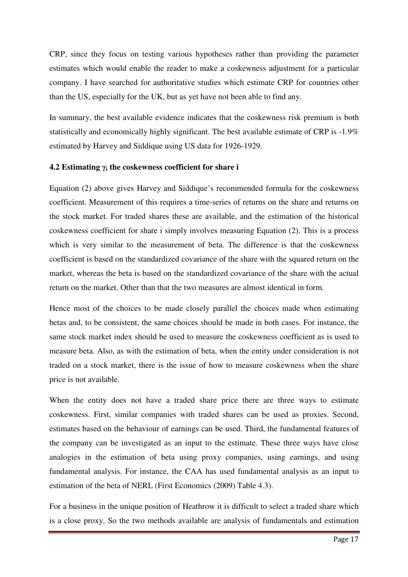CRP, since they focus on testing various hypotheses rather than providing the parameter estimates which would enable the reader to make a coskewness adjustment for a particular company. I have searched for authoritative studies which estimate CRP for countries other than the US, especially for the UK, but as yet have not been able to find any.

In summary, the best available evidence indicates that the coskewness risk premium is both statistically and economically highly significant. The best available estimate of CRP is -1.9% estimated by Harvey and Siddique using US data for 1926-1929.

# **4.2 Estimating**  $γ<sub>i</sub>$  **the coskewness coefficient for share i**

Equation (2) above gives Harvey and Siddique's recommended formula for the coskewness coefficient. Measurement of this requires a time-series of returns on the share and returns on the stock market. For traded shares these are available, and the estimation of the historical coskewness coefficient for share i simply involves measuring Equation (2). This is a process which is very similar to the measurement of beta. The difference is that the coskewness coefficient is based on the standardized covariance of the share with the squared return on the market, whereas the beta is based on the standardized covariance of the share with the actual return on the market. Other than that the two measures are almost identical in form.

Hence most of the choices to be made closely parallel the choices made when estimating betas and, to be consistent, the same choices should be made in both cases. For instance, the same stock market index should be used to measure the coskewness coefficient as is used to measure beta. Also, as with the estimation of beta, when the entity under consideration is not traded on a stock market, there is the issue of how to measure coskewness when the share price is not available.

When the entity does not have a traded share price there are three ways to estimate coskewness. First, similar companies with traded shares can be used as proxies. Second, estimates based on the behaviour of earnings can be used. Third, the fundamental features of the company can be investigated as an input to the estimate. These three ways have close analogies in the estimation of beta using proxy companies, using earnings, and using fundamental analysis. For instance, the CAA has used fundamental analysis as an input to estimation of the beta of NERL (First Economics (2009) Table 4.3).

For a business in the unique position of Heathrow it is difficult to select a traded share which is a close proxy. So the two methods available are analysis of fundamentals and estimation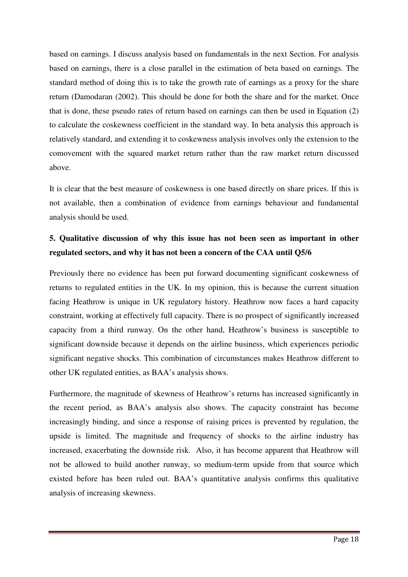based on earnings. I discuss analysis based on fundamentals in the next Section. For analysis based on earnings, there is a close parallel in the estimation of beta based on earnings. The standard method of doing this is to take the growth rate of earnings as a proxy for the share return (Damodaran (2002). This should be done for both the share and for the market. Once that is done, these pseudo rates of return based on earnings can then be used in Equation (2) to calculate the coskewness coefficient in the standard way. In beta analysis this approach is relatively standard, and extending it to coskewness analysis involves only the extension to the comovement with the squared market return rather than the raw market return discussed above.

It is clear that the best measure of coskewness is one based directly on share prices. If this is not available, then a combination of evidence from earnings behaviour and fundamental analysis should be used.

# **5. Qualitative discussion of why this issue has not been seen as important in other regulated sectors, and why it has not been a concern of the CAA until Q5/6**

Previously there no evidence has been put forward documenting significant coskewness of returns to regulated entities in the UK. In my opinion, this is because the current situation facing Heathrow is unique in UK regulatory history. Heathrow now faces a hard capacity constraint, working at effectively full capacity. There is no prospect of significantly increased capacity from a third runway. On the other hand, Heathrow's business is susceptible to significant downside because it depends on the airline business, which experiences periodic significant negative shocks. This combination of circumstances makes Heathrow different to other UK regulated entities, as BAA's analysis shows.

Furthermore, the magnitude of skewness of Heathrow's returns has increased significantly in the recent period, as BAA's analysis also shows. The capacity constraint has become increasingly binding, and since a response of raising prices is prevented by regulation, the upside is limited. The magnitude and frequency of shocks to the airline industry has increased, exacerbating the downside risk. Also, it has become apparent that Heathrow will not be allowed to build another runway, so medium-term upside from that source which existed before has been ruled out. BAA's quantitative analysis confirms this qualitative analysis of increasing skewness.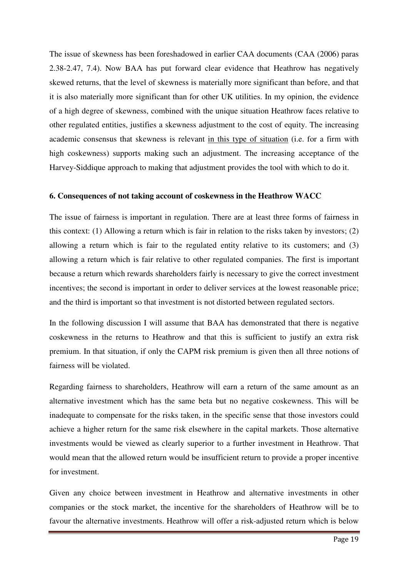The issue of skewness has been foreshadowed in earlier CAA documents (CAA (2006) paras 2.38-2.47, 7.4). Now BAA has put forward clear evidence that Heathrow has negatively skewed returns, that the level of skewness is materially more significant than before, and that it is also materially more significant than for other UK utilities. In my opinion, the evidence of a high degree of skewness, combined with the unique situation Heathrow faces relative to other regulated entities, justifies a skewness adjustment to the cost of equity. The increasing academic consensus that skewness is relevant in this type of situation (i.e. for a firm with high coskewness) supports making such an adjustment. The increasing acceptance of the Harvey-Siddique approach to making that adjustment provides the tool with which to do it.

#### **6. Consequences of not taking account of coskewness in the Heathrow WACC**

The issue of fairness is important in regulation. There are at least three forms of fairness in this context: (1) Allowing a return which is fair in relation to the risks taken by investors; (2) allowing a return which is fair to the regulated entity relative to its customers; and (3) allowing a return which is fair relative to other regulated companies. The first is important because a return which rewards shareholders fairly is necessary to give the correct investment incentives; the second is important in order to deliver services at the lowest reasonable price; and the third is important so that investment is not distorted between regulated sectors.

In the following discussion I will assume that BAA has demonstrated that there is negative coskewness in the returns to Heathrow and that this is sufficient to justify an extra risk premium. In that situation, if only the CAPM risk premium is given then all three notions of fairness will be violated.

Regarding fairness to shareholders, Heathrow will earn a return of the same amount as an alternative investment which has the same beta but no negative coskewness. This will be inadequate to compensate for the risks taken, in the specific sense that those investors could achieve a higher return for the same risk elsewhere in the capital markets. Those alternative investments would be viewed as clearly superior to a further investment in Heathrow. That would mean that the allowed return would be insufficient return to provide a proper incentive for investment.

Given any choice between investment in Heathrow and alternative investments in other companies or the stock market, the incentive for the shareholders of Heathrow will be to favour the alternative investments. Heathrow will offer a risk-adjusted return which is below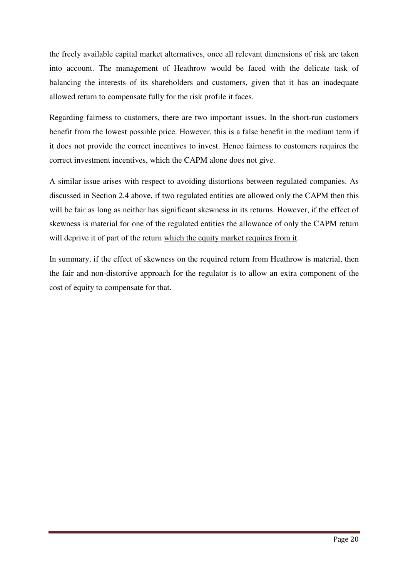the freely available capital market alternatives, once all relevant dimensions of risk are taken into account. The management of Heathrow would be faced with the delicate task of balancing the interests of its shareholders and customers, given that it has an inadequate allowed return to compensate fully for the risk profile it faces.

Regarding fairness to customers, there are two important issues. In the short-run customers benefit from the lowest possible price. However, this is a false benefit in the medium term if it does not provide the correct incentives to invest. Hence fairness to customers requires the correct investment incentives, which the CAPM alone does not give.

A similar issue arises with respect to avoiding distortions between regulated companies. As discussed in Section 2.4 above, if two regulated entities are allowed only the CAPM then this will be fair as long as neither has significant skewness in its returns. However, if the effect of skewness is material for one of the regulated entities the allowance of only the CAPM return will deprive it of part of the return which the equity market requires from it.

In summary, if the effect of skewness on the required return from Heathrow is material, then the fair and non-distortive approach for the regulator is to allow an extra component of the cost of equity to compensate for that.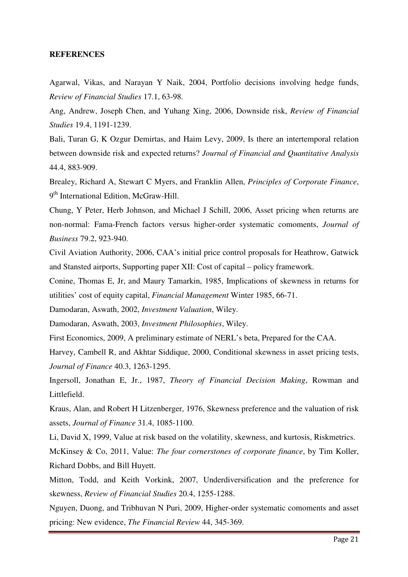#### **REFERENCES**

Agarwal, Vikas, and Narayan Y Naik, 2004, Portfolio decisions involving hedge funds, *Review of Financial Studies* 17.1, 63-98.

Ang, Andrew, Joseph Chen, and Yuhang Xing, 2006, Downside risk, *Review of Financial Studies* 19.4, 1191-1239.

Bali, Turan G, K Ozgur Demirtas, and Haim Levy, 2009, Is there an intertemporal relation between downside risk and expected returns? *Journal of Financial and Quantitative Analysis* 44.4, 883-909.

Brealey, Richard A, Stewart C Myers, and Franklin Allen, *Principles of Corporate Finance*, 9<sup>th</sup> International Edition, McGraw-Hill.

Chung, Y Peter, Herb Johnson, and Michael J Schill, 2006, Asset pricing when returns are non-normal: Fama-French factors versus higher-order systematic comoments, *Journal of Business* 79.2, 923-940.

Civil Aviation Authority, 2006, CAA's initial price control proposals for Heathrow, Gatwick and Stansted airports, Supporting paper XII: Cost of capital – policy framework.

Conine, Thomas E, Jr, and Maury Tamarkin, 1985, Implications of skewness in returns for utilities' cost of equity capital, *Financial Management* Winter 1985, 66-71.

Damodaran, Aswath, 2002, *Investment Valuation*, Wiley.

Damodaran, Aswath, 2003, *Investment Philosophies*, Wiley.

First Economics, 2009, A preliminary estimate of NERL's beta, Prepared for the CAA.

Harvey, Cambell R, and Akhtar Siddique, 2000, Conditional skewness in asset pricing tests, *Journal of Finance* 40.3, 1263-1295.

Ingersoll, Jonathan E, Jr., 1987, *Theory of Financial Decision Making*, Rowman and Littlefield.

Kraus, Alan, and Robert H Litzenberger, 1976, Skewness preference and the valuation of risk assets, *Journal of Finance* 31.4, 1085-1100.

Li, David X, 1999, Value at risk based on the volatility, skewness, and kurtosis, Riskmetrics.

McKinsey & Co, 2011, Value: *The four cornerstones of corporate finance*, by Tim Koller, Richard Dobbs, and Bill Huyett.

Mitton, Todd, and Keith Vorkink, 2007, Underdiversification and the preference for skewness, *Review of Financial Studies* 20.4, 1255-1288.

Nguyen, Duong, and Tribhuvan N Puri, 2009, Higher-order systematic comoments and asset pricing: New evidence, *The Financial Review* 44, 345-369.